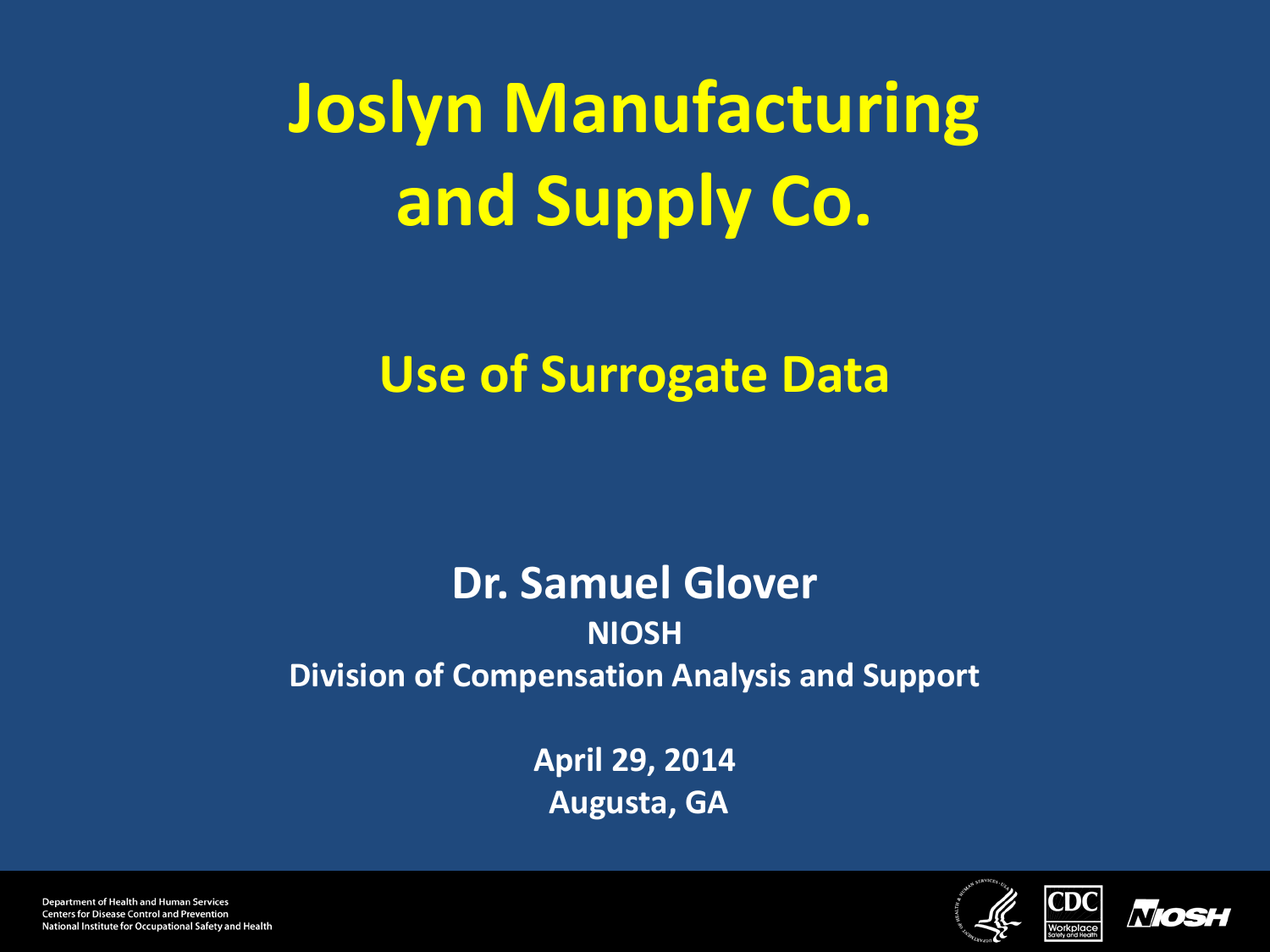# **Joslyn Manufacturing and Supply Co.**

#### **Use of Surrogate Data**

#### **Dr. Samuel Glover NIOSH Division of Compensation Analysis and Support**

**April 29, 2014 Augusta, GA** 





**Department of Health and Human Services Centers for Disease Control and Prevention** National Institute for Occupational Safety and Health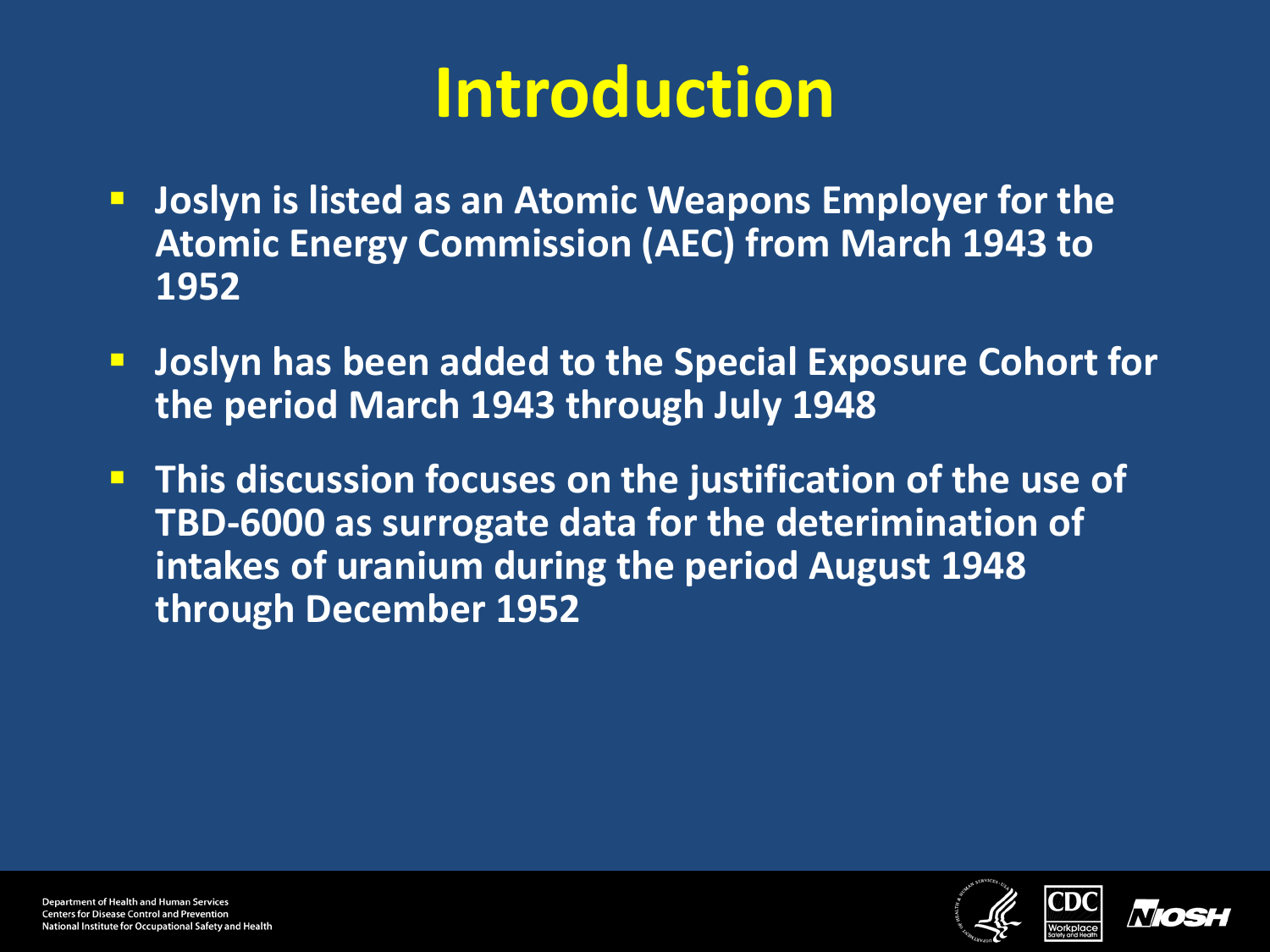#### **Introduction**

- **Joslyn is listed as an Atomic Weapons Employer for the Atomic Energy Commission (AEC) from March 1943 to 1952**
- **Latter Joslyn has been added to the Special Exposure Cohort for the period March 1943 through July 1948**
- **This discussion focuses on the justification of the use of TBD-6000 as surrogate data for the deterimination of intakes of uranium during the period August 1948 through December 1952**



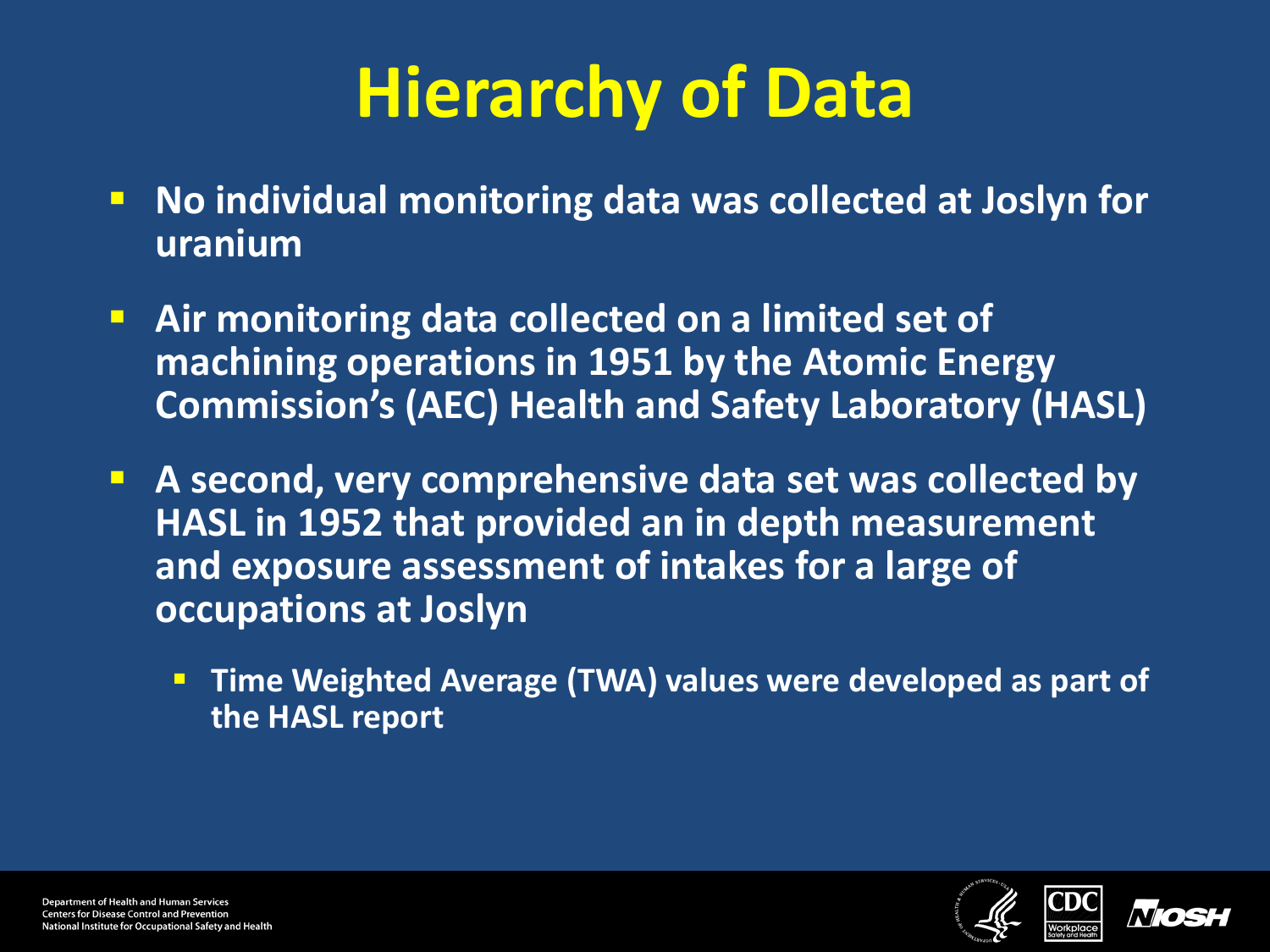### **Hierarchy of Data**

- **No individual monitoring data was collected at Joslyn for uranium**
- **Air monitoring data collected on a limited set of machining operations in 1951 by the Atomic Energy Commission's (AEC) Health and Safety Laboratory (HASL)**
- **A second, very comprehensive data set was collected by HASL in 1952 that provided an in depth measurement and exposure assessment of intakes for a large of occupations at Joslyn**
	- **Time Weighted Average (TWA) values were developed as part of the HASL report**



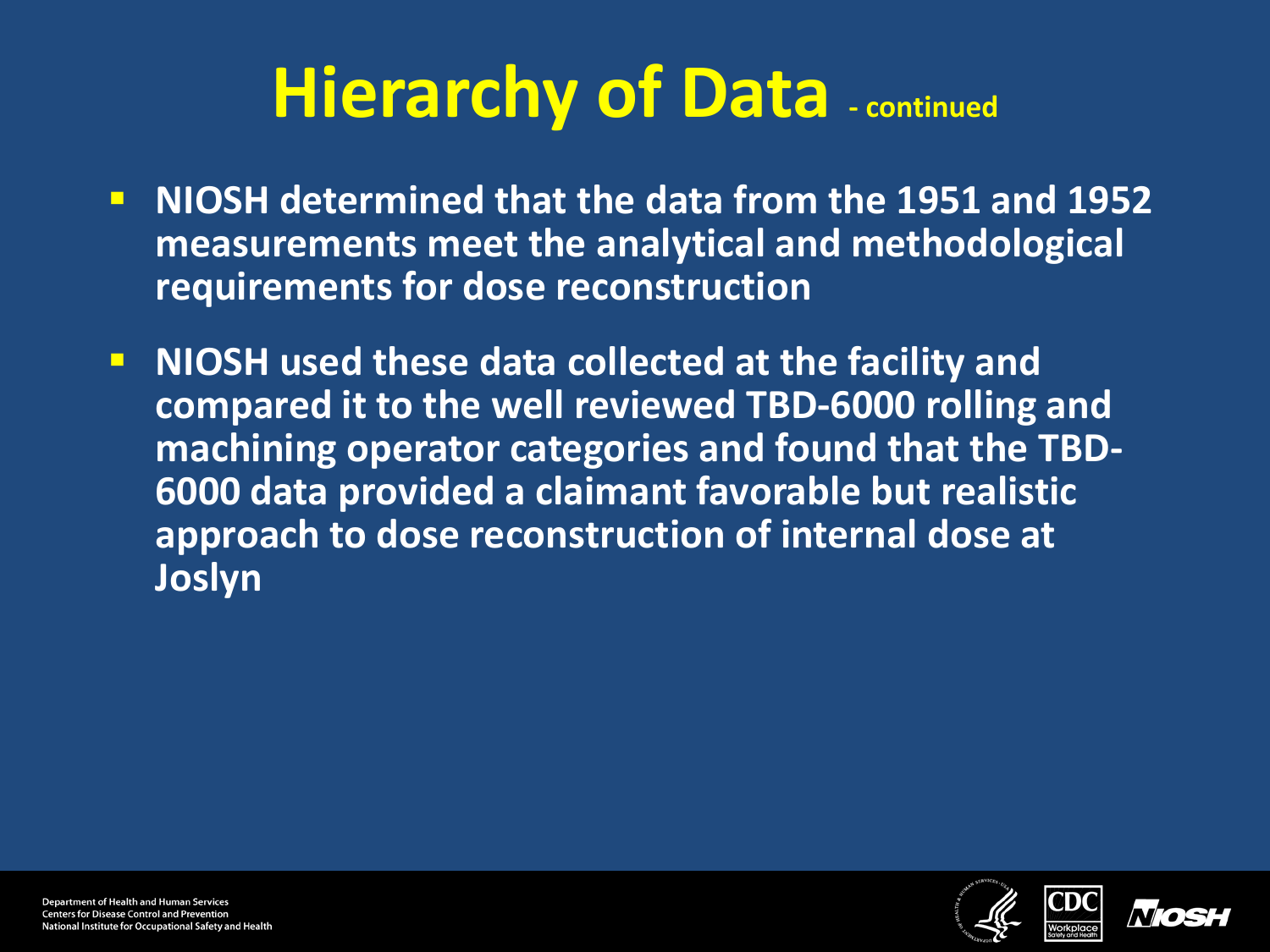#### **Hierarchy of Data - continued**

- **NIOSH determined that the data from the 1951 and 1952 measurements meet the analytical and methodological requirements for dose reconstruction**
- **NIOSH** used these data collected at the facility and **compared it to the well reviewed TBD-6000 rolling and machining operator categories and found that the TBD-6000 data provided a claimant favorable but realistic approach to dose reconstruction of internal dose at Joslyn**



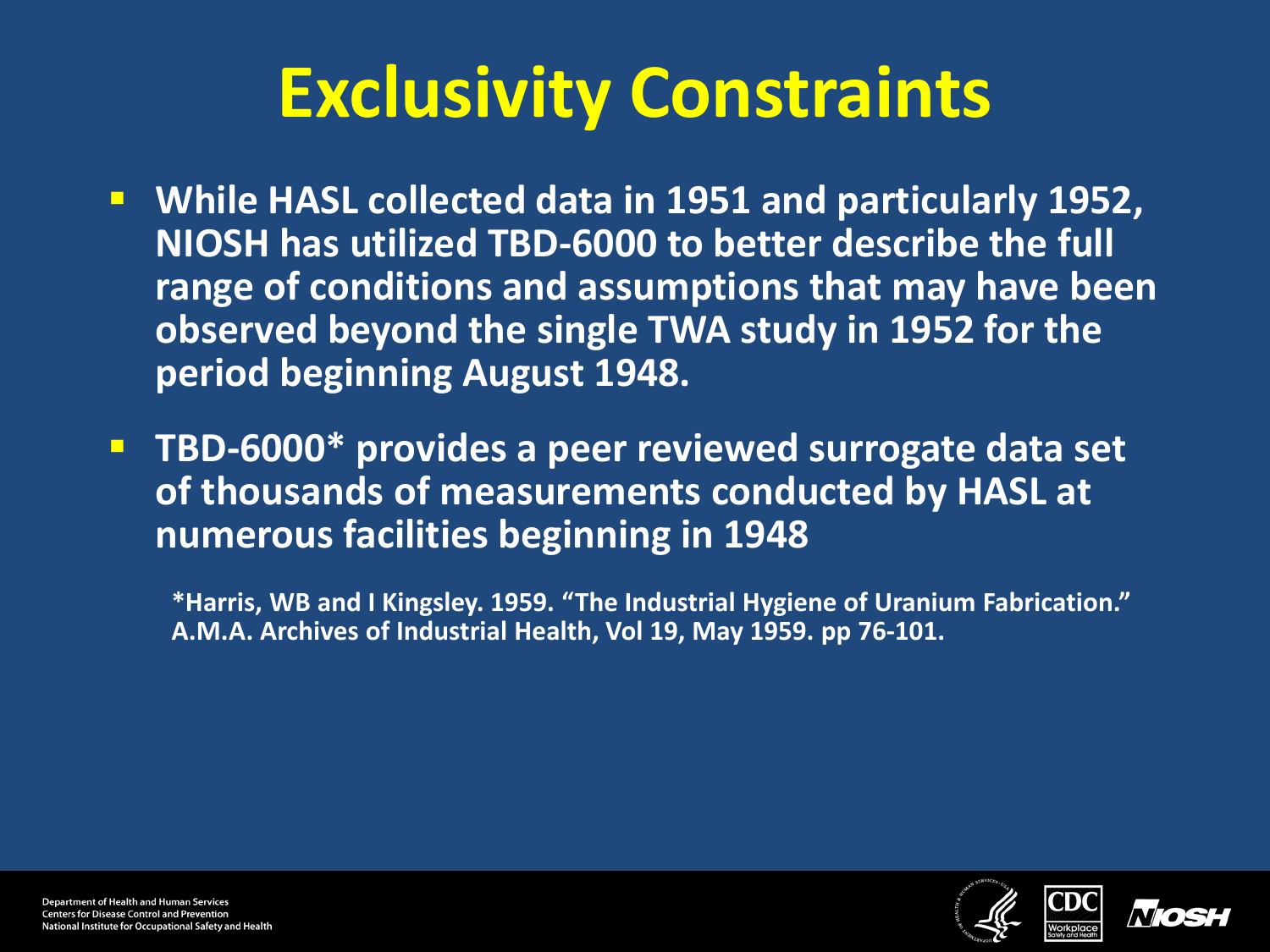#### **Exclusivity Constraints**

- **While HASL collected data in 1951 and particularly 1952, NIOSH has utilized TBD-6000 to better describe the full range of conditions and assumptions that may have been observed beyond the single TWA study in 1952 for the period beginning August 1948.**
- **TBD-6000\* provides a peer reviewed surrogate data set of thousands of measurements conducted by HASL at numerous facilities beginning in 1948**

**\*Harris, WB and I Kingsley. 1959. "The Industrial Hygiene of Uranium Fabrication." A.M.A. Archives of Industrial Health, Vol 19, May 1959. pp 76-101.**

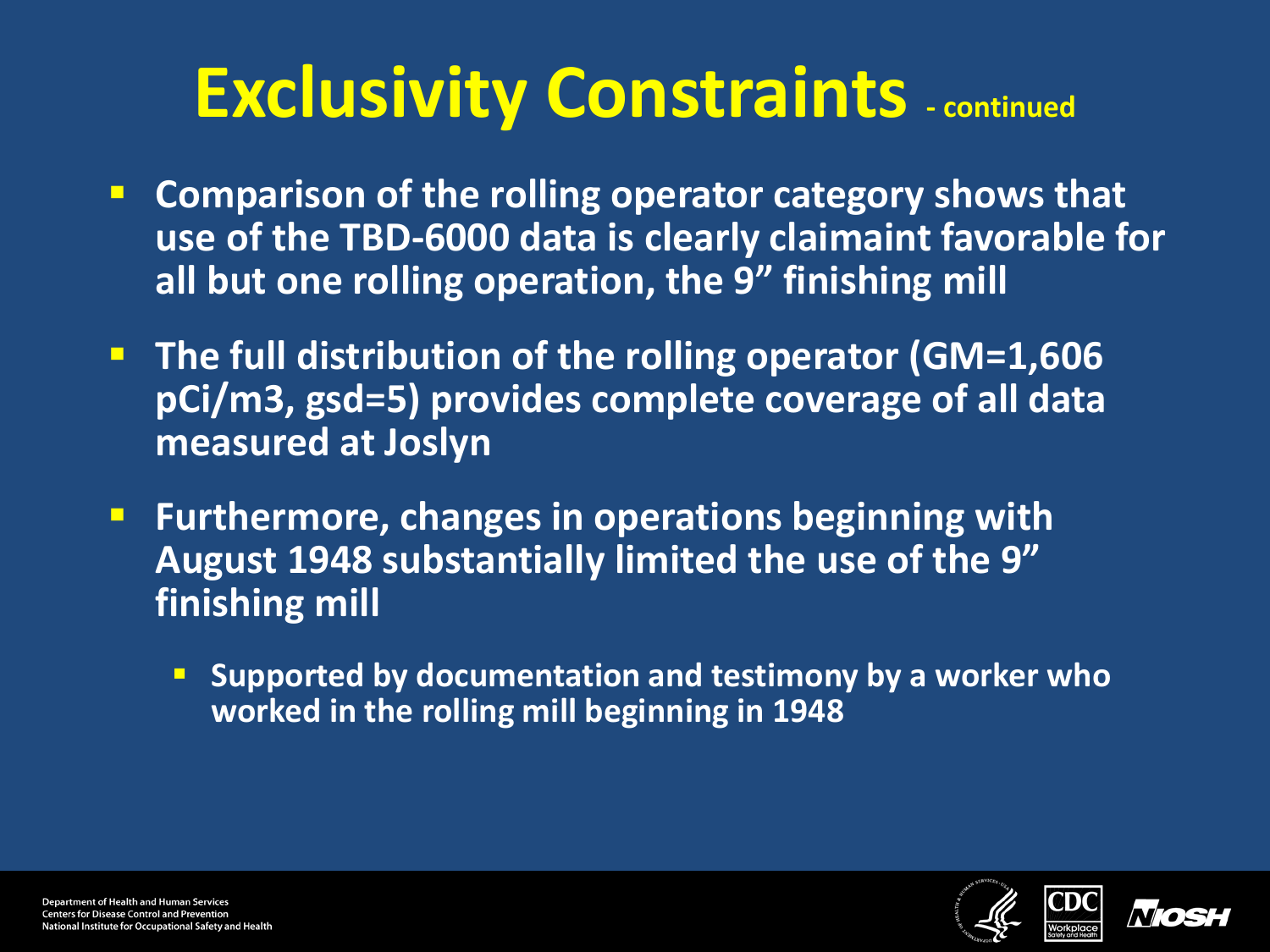#### **Exclusivity Constraints - continued**

- **Comparison of the rolling operator category shows that use of the TBD-6000 data is clearly claimaint favorable for all but one rolling operation, the 9" finishing mill**
- **The full distribution of the rolling operator (GM=1,606 pCi/m3, gsd=5) provides complete coverage of all data measured at Joslyn**
- **Furthermore, changes in operations beginning with August 1948 substantially limited the use of the 9" finishing mill**
	- **Supported by documentation and testimony by a worker who worked in the rolling mill beginning in 1948**



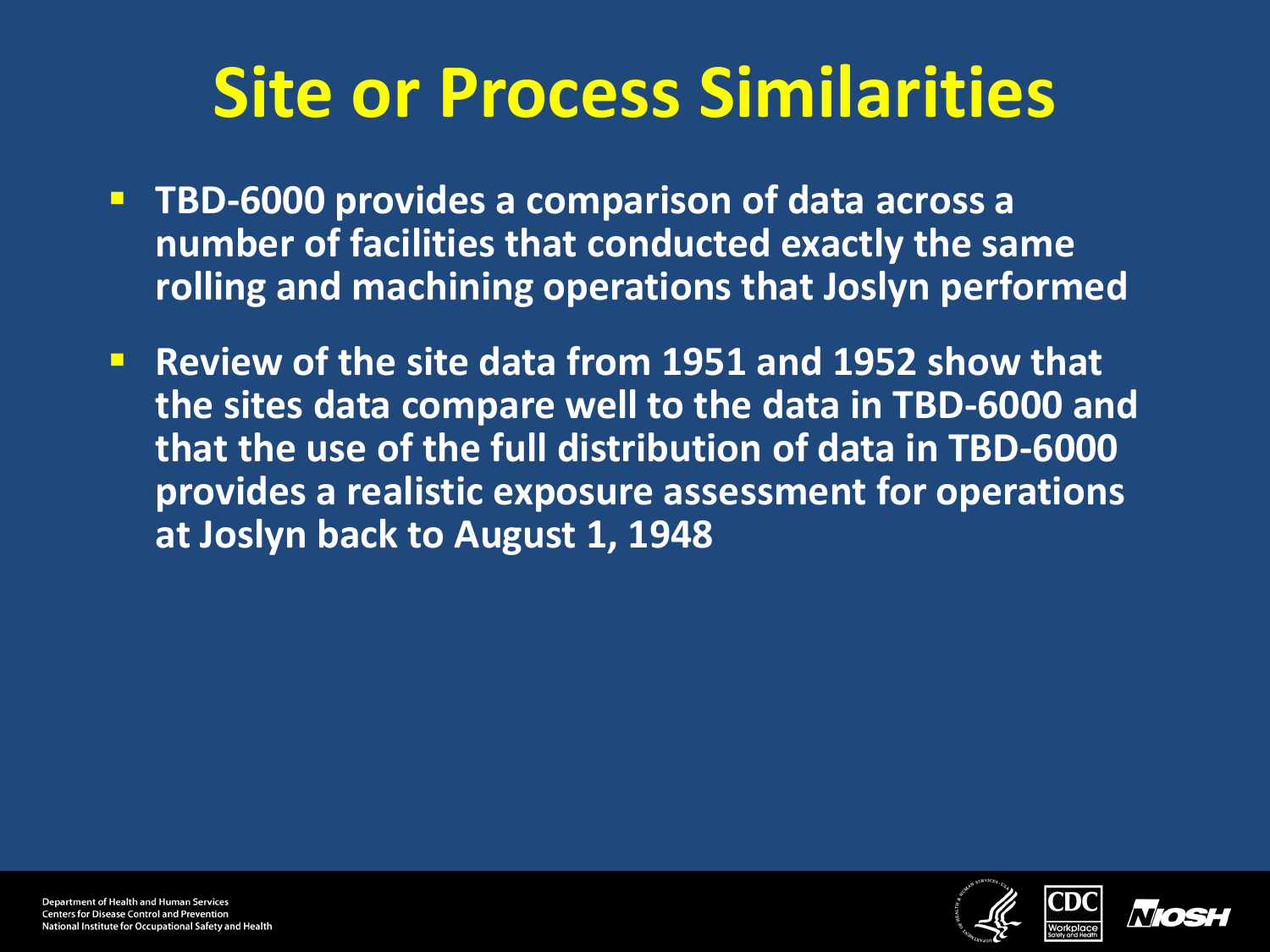#### **Site or Process Similarities**

- **TBD-6000 provides a comparison of data across a number of facilities that conducted exactly the same rolling and machining operations that Joslyn performed**
- **Review of the site data from 1951 and 1952 show that the sites data compare well to the data in TBD-6000 and that the use of the full distribution of data in TBD-6000 provides a realistic exposure assessment for operations at Joslyn back to August 1, 1948**



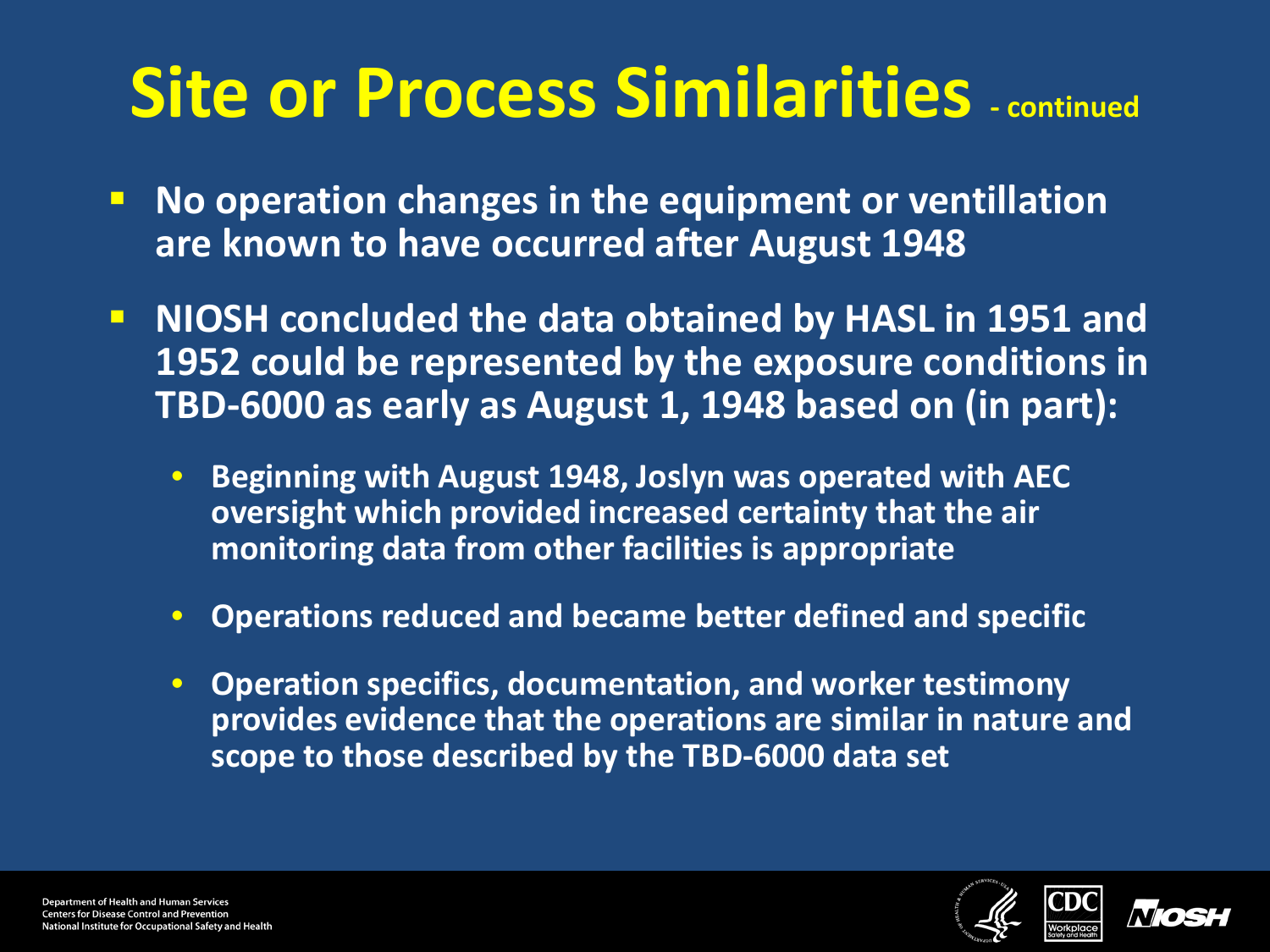#### **Site or Process Similarities - continued**

- **No operation changes in the equipment or ventillation are known to have occurred after August 1948**
- **NIOSH concluded the data obtained by HASL in 1951 and 1952 could be represented by the exposure conditions in TBD-6000 as early as August 1, 1948 based on (in part):**
	- **Beginning with August 1948, Joslyn was operated with AEC oversight which provided increased certainty that the air monitoring data from other facilities is appropriate**
	- **Operations reduced and became better defined and specific**
	- **Operation specifics, documentation, and worker testimony provides evidence that the operations are similar in nature and scope to those described by the TBD-6000 data set**



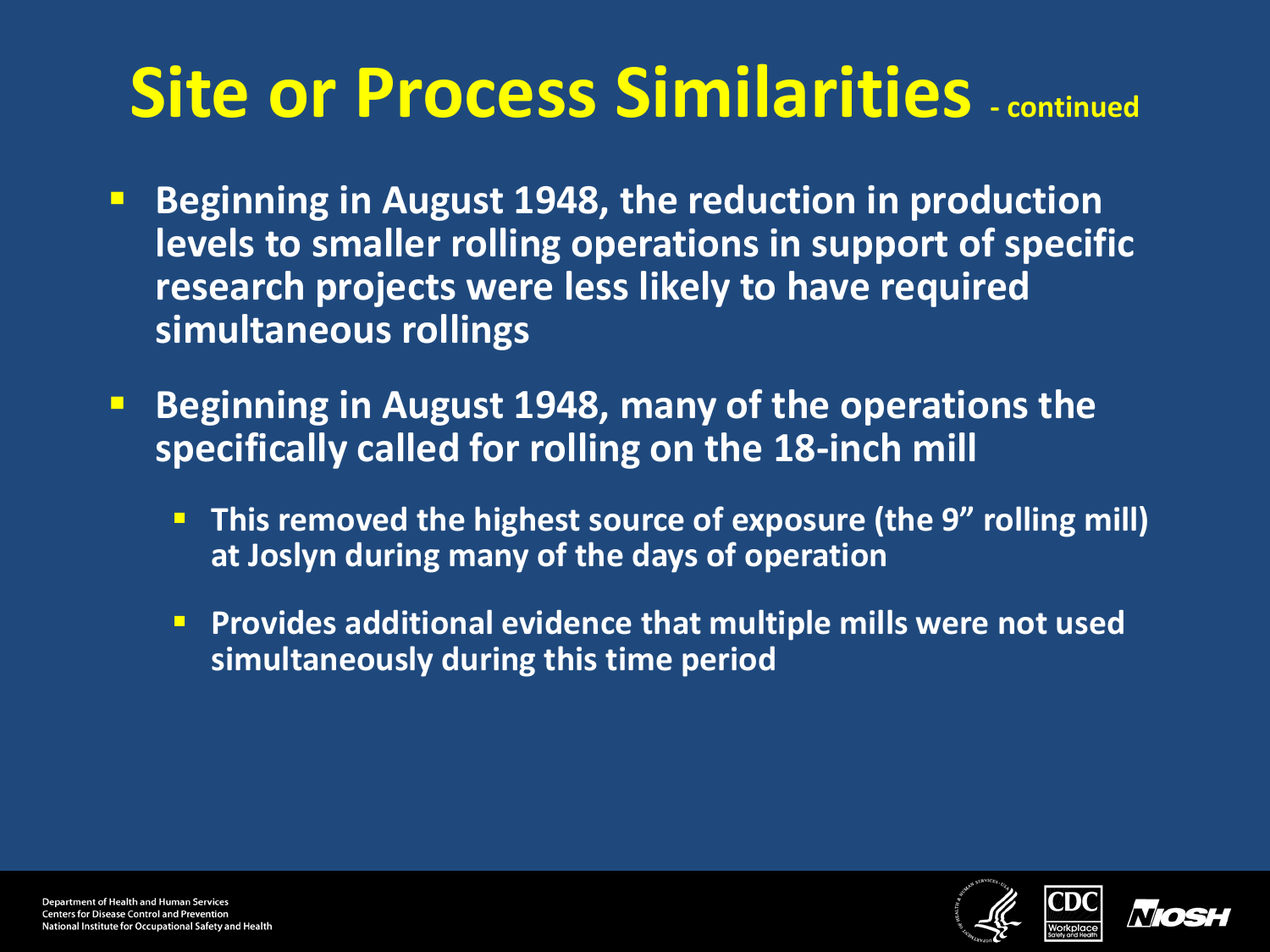#### **Site or Process Similarities - continued**

- **Beginning in August 1948, the reduction in production levels to smaller rolling operations in support of specific research projects were less likely to have required simultaneous rollings**
- **Beginning in August 1948, many of the operations the specifically called for rolling on the 18-inch mill**
	- **This removed the highest source of exposure (the 9" rolling mill) at Joslyn during many of the days of operation**
	- **Provides additional evidence that multiple mills were not used simultaneously during this time period**



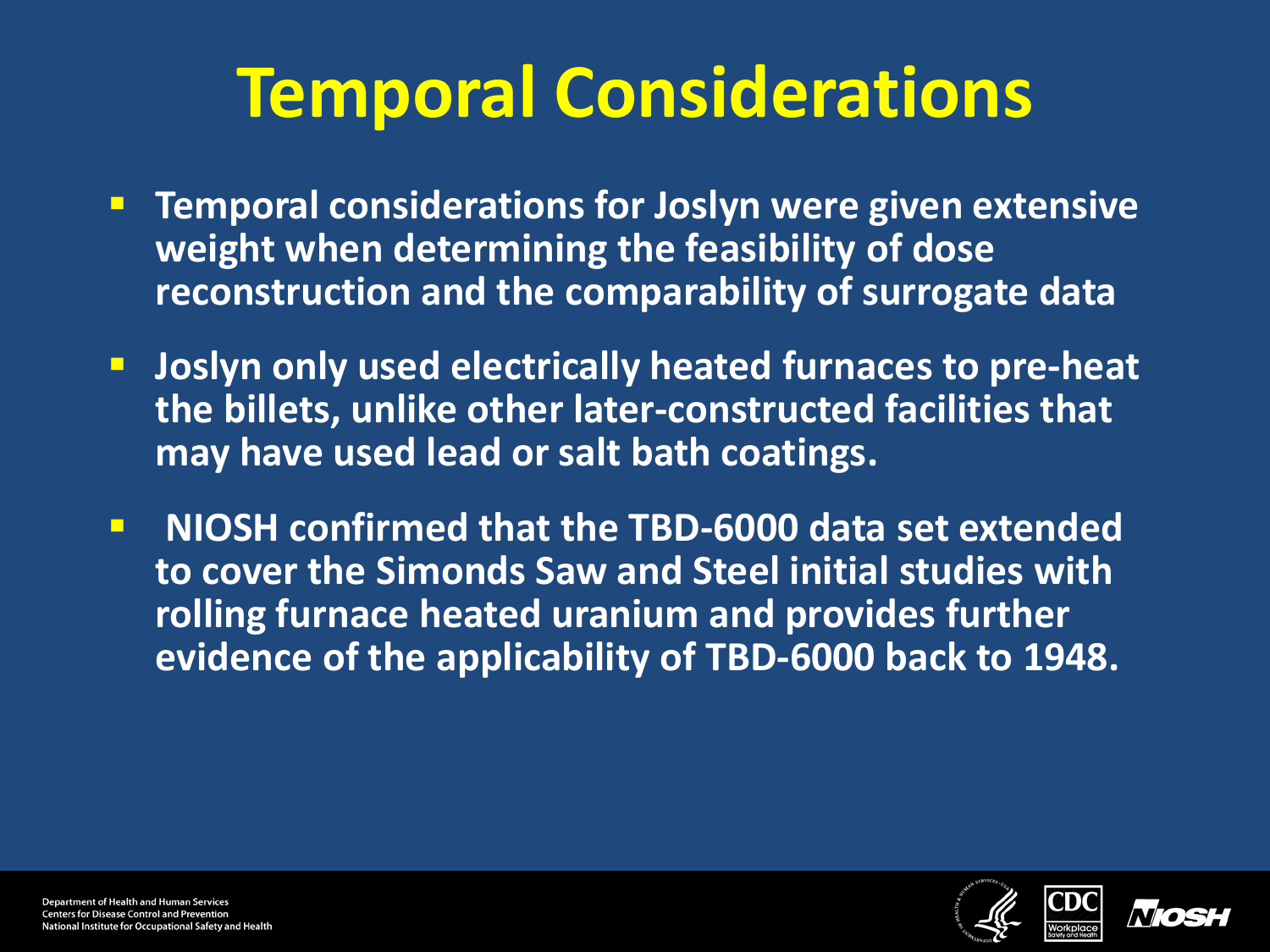#### **Temporal Considerations**

- **Temporal considerations for Joslyn were given extensive weight when determining the feasibility of dose reconstruction and the comparability of surrogate data**
- **Joslyn only used electrically heated furnaces to pre-heat the billets, unlike other later-constructed facilities that may have used lead or salt bath coatings.**
- **NIOSH confirmed that the TBD-6000 data set extended to cover the Simonds Saw and Steel initial studies with rolling furnace heated uranium and provides further evidence of the applicability of TBD-6000 back to 1948.**





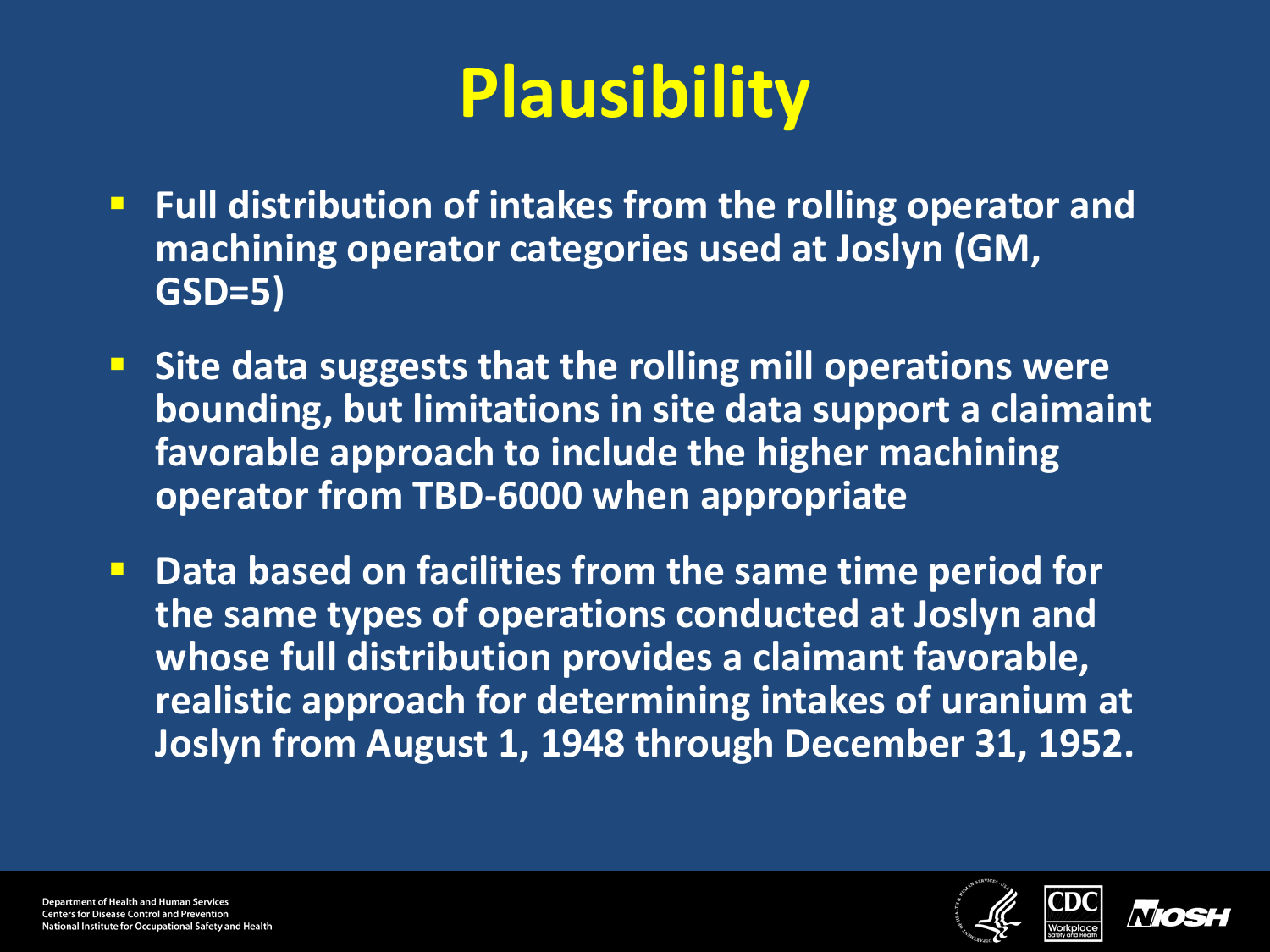# **Plausibility**

- **Full distribution of intakes from the rolling operator and machining operator categories used at Joslyn (GM, GSD=5)**
- **Site data suggests that the rolling mill operations were bounding, but limitations in site data support a claimaint favorable approach to include the higher machining operator from TBD-6000 when appropriate**
- **P** Data based on facilities from the same time period for **the same types of operations conducted at Joslyn and whose full distribution provides a claimant favorable, realistic approach for determining intakes of uranium at Joslyn from August 1, 1948 through December 31, 1952.**